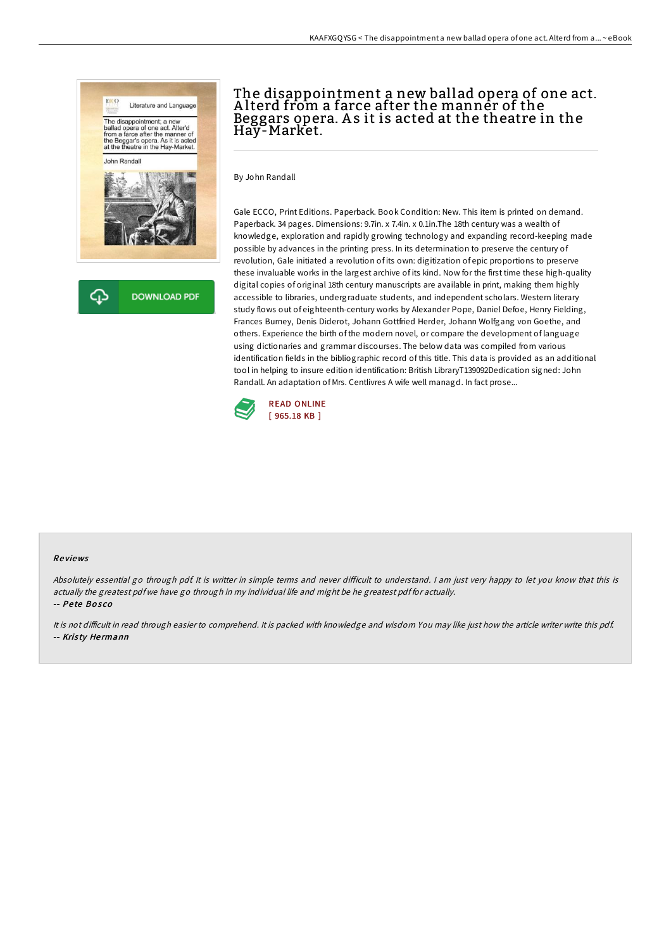

## The disappointment a new ballad opera of one act. A lterd from a farce after the manner of the Beggars opera. A s it is acted at the theatre in the Hay-Market.

By John Randall

Gale ECCO, Print Editions. Paperback. Book Condition: New. This item is printed on demand. Paperback. 34 pages. Dimensions: 9.7in. x 7.4in. x 0.1in.The 18th century was a wealth of knowledge, exploration and rapidly growing technology and expanding record-keeping made possible by advances in the printing press. In its determination to preserve the century of revolution, Gale initiated a revolution of its own: digitization of epic proportions to preserve these invaluable works in the largest archive of its kind. Now for the first time these high-quality digital copies of original 18th century manuscripts are available in print, making them highly accessible to libraries, undergraduate students, and independent scholars. Western literary study flows out of eighteenth-century works by Alexander Pope, Daniel Defoe, Henry Fielding, Frances Burney, Denis Diderot, Johann Gottfried Herder, Johann Wolfgang von Goethe, and others. Experience the birth of the modern novel, or compare the development of language using dictionaries and grammar discourses. The below data was compiled from various identification fields in the bibliographic record of this title. This data is provided as an additional tool in helping to insure edition identification: British LibraryT139092Dedication signed: John Randall. An adaptation of Mrs. Centlivres A wife well managd. In fact prose...



#### Re views

Absolutely essential go through pdf. It is writter in simple terms and never difficult to understand. I am just very happy to let you know that this is actually the greatest pdf we have go through in my individual life and might be he greatest pdf for actually.

-- Pe te Bo s co

It is not difficult in read through easier to comprehend. It is packed with knowledge and wisdom You may like just how the article writer write this pdf. -- Kris ty He rmann